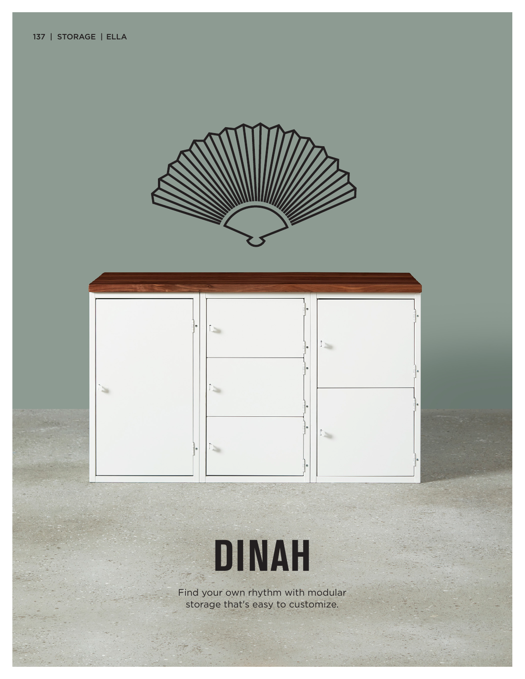





ER.

Find your own rhythm with modular storage that's easy to customize.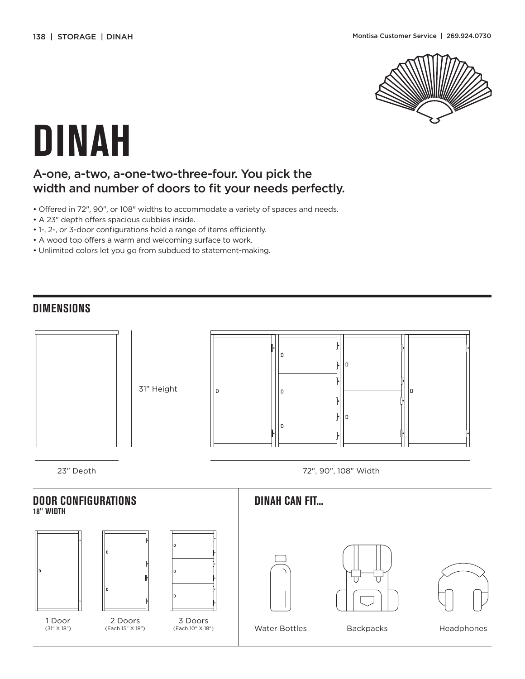

# **DINAH**

### A-one, a-two, a-one-two-three-four. You pick the width and number of doors to fit your needs perfectly.

- Offered in 72", 90", or 108" widths to accommodate a variety of spaces and needs.
- A 23" depth offers spacious cubbies inside.
- 1-, 2-, or 3-door configurations hold a range of items efficiently.
- A wood top offers a warm and welcoming surface to work.
- Unlimited colors let you go from subdued to statement-making.

#### **DIMENSIONS**



## **DOOR CONFIGURATIONS 18" WIDTH**



1 Door (31" X 18")



2 Doors (Each 15" X 18")

3 Doors (Each 10" X 18")

**DINAH CAN FIT...**









Water Bottles Backpacks Headphones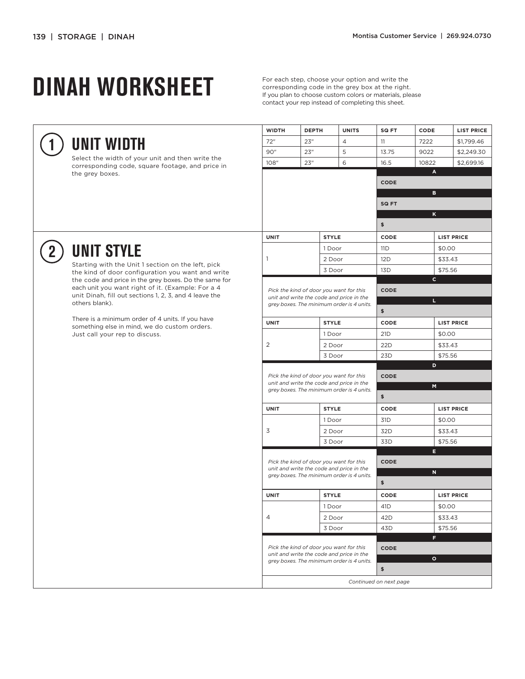**1**

**2**

# **DINAH WORKSHEET**

corresponding code in the grey box at the right. If you plan to choose custom colors or materials, please contact your rep instead of completing this sheet.

|                                                                                                            | <b>WIDTH</b>   | <b>DEPTH</b>                                                                                                                     | <b>UNITS</b>   |                  | SQ FT                   | CODE           | <b>LIST PRICE</b>           |  |  |
|------------------------------------------------------------------------------------------------------------|----------------|----------------------------------------------------------------------------------------------------------------------------------|----------------|------------------|-------------------------|----------------|-----------------------------|--|--|
| UNIT WIDTH                                                                                                 | 72"            | 23''                                                                                                                             | $\overline{4}$ |                  | 11                      | 7222           | \$1,799.46                  |  |  |
|                                                                                                            | 90"            | 23''                                                                                                                             | 5              |                  | 13.75                   | 9022           | \$2,249.30                  |  |  |
| Select the width of your unit and then write the<br>corresponding code, square footage, and price in       | 108"           | 23''                                                                                                                             | 6              |                  | 16.5                    | 10822          | \$2,699.16                  |  |  |
| the grey boxes.                                                                                            |                |                                                                                                                                  |                |                  | $\mathbf{A}$            |                |                             |  |  |
|                                                                                                            |                |                                                                                                                                  |                |                  |                         | CODE           |                             |  |  |
|                                                                                                            |                |                                                                                                                                  |                |                  |                         | в              |                             |  |  |
|                                                                                                            |                |                                                                                                                                  |                |                  |                         | SQ FT          |                             |  |  |
|                                                                                                            |                |                                                                                                                                  |                |                  |                         | K<br>\$        |                             |  |  |
|                                                                                                            |                |                                                                                                                                  |                |                  |                         |                |                             |  |  |
|                                                                                                            | <b>UNIT</b>    |                                                                                                                                  | <b>STYLE</b>   |                  | CODE<br>11 <sub>D</sub> |                | <b>LIST PRICE</b><br>\$0.00 |  |  |
| <b>UNIT STYLE</b><br>Starting with the Unit 1 section on the left, pick                                    |                | 1                                                                                                                                |                | 1 Door<br>2 Door |                         |                |                             |  |  |
|                                                                                                            |                |                                                                                                                                  |                |                  |                         |                | \$33.43                     |  |  |
| the kind of door configuration you want and write<br>the code and price in the grey boxes. Do the same for |                |                                                                                                                                  | 3 Door         |                  | 13D                     | $\mathbf{C}$   | \$75.56                     |  |  |
| each unit you want right of it. (Example: For a 4                                                          |                |                                                                                                                                  |                |                  | <b>CODE</b>             |                |                             |  |  |
| unit Dinah, fill out sections 1, 2, 3, and 4 leave the<br>others blank).                                   |                | Pick the kind of door you want for this<br>unit and write the code and price in the<br>grey boxes. The minimum order is 4 units. |                |                  | L.                      |                |                             |  |  |
|                                                                                                            |                |                                                                                                                                  |                |                  | \$                      |                |                             |  |  |
| There is a minimum order of 4 units. If you have<br>something else in mind, we do custom orders.           | <b>UNIT</b>    |                                                                                                                                  | <b>STYLE</b>   |                  | CODE                    |                | <b>LIST PRICE</b>           |  |  |
| Just call your rep to discuss.                                                                             |                |                                                                                                                                  | 1 Door         |                  | 21 <sub>D</sub>         |                | \$0.00                      |  |  |
|                                                                                                            | $\overline{2}$ |                                                                                                                                  | 2 Door         |                  | 22 <sub>D</sub>         |                | \$33.43                     |  |  |
|                                                                                                            |                |                                                                                                                                  | 3 Door         |                  | 23 <sub>D</sub>         |                | \$75.56                     |  |  |
|                                                                                                            |                | Pick the kind of door you want for this<br>unit and write the code and price in the<br>grey boxes. The minimum order is 4 units. |                |                  |                         | D              |                             |  |  |
|                                                                                                            |                |                                                                                                                                  |                |                  |                         | CODE           |                             |  |  |
|                                                                                                            |                |                                                                                                                                  |                |                  |                         | $\blacksquare$ |                             |  |  |
|                                                                                                            |                |                                                                                                                                  |                |                  | \$                      |                |                             |  |  |
|                                                                                                            | <b>UNIT</b>    |                                                                                                                                  | <b>STYLE</b>   |                  | CODE                    |                | <b>LIST PRICE</b>           |  |  |
|                                                                                                            |                |                                                                                                                                  | 1 Door         |                  | 31 <sub>D</sub>         | \$0.00         |                             |  |  |
|                                                                                                            | 3              |                                                                                                                                  | 2 Door         |                  | 32D                     |                | \$33.43                     |  |  |
|                                                                                                            |                |                                                                                                                                  | 3 Door         |                  | 33D                     | н              | \$75.56                     |  |  |
|                                                                                                            |                | Pick the kind of door you want for this                                                                                          |                |                  |                         | <b>CODE</b>    |                             |  |  |
|                                                                                                            |                | unit and write the code and price in the<br>grey boxes. The minimum order is 4 units.                                            |                |                  | N                       |                |                             |  |  |
|                                                                                                            |                |                                                                                                                                  |                |                  | \$                      |                |                             |  |  |
|                                                                                                            | <b>UNIT</b>    |                                                                                                                                  | <b>STYLE</b>   |                  | CODE                    |                | <b>LIST PRICE</b>           |  |  |
|                                                                                                            |                | 4                                                                                                                                | 1 Door         |                  | 41 <sub>D</sub>         | \$0.00         |                             |  |  |
|                                                                                                            |                |                                                                                                                                  | 2 Door         |                  | 42D                     |                | \$33.43                     |  |  |
|                                                                                                            |                |                                                                                                                                  | 3 Door         |                  | 43 <sub>D</sub>         |                | \$75.56                     |  |  |
|                                                                                                            |                | Pick the kind of door you want for this                                                                                          |                |                  |                         | F.             |                             |  |  |
|                                                                                                            |                |                                                                                                                                  |                |                  |                         | <b>CODE</b>    |                             |  |  |
|                                                                                                            |                | unit and write the code and price in the<br>grey boxes. The minimum order is 4 units.                                            |                |                  | $\circ$                 |                |                             |  |  |
|                                                                                                            |                |                                                                                                                                  |                |                  |                         | \$             |                             |  |  |
|                                                                                                            |                | Continued on next page                                                                                                           |                |                  |                         |                |                             |  |  |
|                                                                                                            |                |                                                                                                                                  |                |                  |                         |                |                             |  |  |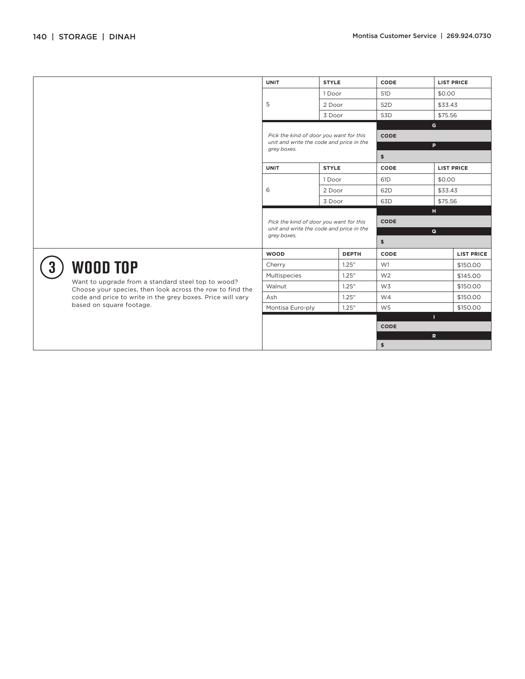|                                                                                                                                                                                                                              |                                                                                                    | <b>UNIT</b>                                                                         | <b>STYLE</b> |                 | CODE              | <b>LIST PRICE</b> |  |  |
|------------------------------------------------------------------------------------------------------------------------------------------------------------------------------------------------------------------------------|----------------------------------------------------------------------------------------------------|-------------------------------------------------------------------------------------|--------------|-----------------|-------------------|-------------------|--|--|
|                                                                                                                                                                                                                              |                                                                                                    |                                                                                     | 1 Door       |                 | 51 <sub>D</sub>   | \$0.00            |  |  |
|                                                                                                                                                                                                                              | 5                                                                                                  | 2 Door                                                                              |              | 52 <sub>D</sub> | \$33.43           |                   |  |  |
|                                                                                                                                                                                                                              |                                                                                                    | 3 Door                                                                              |              | 53 <sub>D</sub> | \$75.56           |                   |  |  |
|                                                                                                                                                                                                                              |                                                                                                    |                                                                                     |              |                 | G                 |                   |  |  |
|                                                                                                                                                                                                                              | Pick the kind of door you want for this<br>unit and write the code and price in the<br>grey boxes. |                                                                                     |              | CODE            |                   |                   |  |  |
|                                                                                                                                                                                                                              |                                                                                                    |                                                                                     |              | P               |                   |                   |  |  |
|                                                                                                                                                                                                                              |                                                                                                    |                                                                                     |              | \$              |                   |                   |  |  |
|                                                                                                                                                                                                                              | <b>UNIT</b>                                                                                        | <b>STYLE</b>                                                                        |              | CODE            | <b>LIST PRICE</b> |                   |  |  |
|                                                                                                                                                                                                                              |                                                                                                    | 6                                                                                   | 1 Door       |                 | 61 <sub>D</sub>   | \$0.00            |  |  |
|                                                                                                                                                                                                                              |                                                                                                    |                                                                                     | 2 Door       |                 | 62D               | \$33.43           |  |  |
|                                                                                                                                                                                                                              |                                                                                                    |                                                                                     | 3 Door       |                 | 63D               | \$75.56           |  |  |
|                                                                                                                                                                                                                              |                                                                                                    | Pick the kind of door you want for this<br>unit and write the code and price in the |              |                 | н                 |                   |  |  |
|                                                                                                                                                                                                                              |                                                                                                    |                                                                                     |              |                 | <b>CODE</b>       |                   |  |  |
|                                                                                                                                                                                                                              | grey boxes.                                                                                        |                                                                                     |              | $\mathbf{Q}$    |                   |                   |  |  |
|                                                                                                                                                                                                                              |                                                                                                    |                                                                                     |              | \$              |                   |                   |  |  |
| <b>WOOD TOP</b><br>Want to upgrade from a standard steel top to wood?<br>Choose your species, then look across the row to find the<br>code and price to write in the grey boxes. Price will vary<br>based on square footage. | <b>WOOD</b>                                                                                        |                                                                                     | <b>DEPTH</b> | CODE            |                   | <b>LIST PRICE</b> |  |  |
|                                                                                                                                                                                                                              | Cherry                                                                                             |                                                                                     | 1.25''       | W1              |                   | \$150.00          |  |  |
|                                                                                                                                                                                                                              | Multispecies                                                                                       |                                                                                     | 1.25''       | W <sub>2</sub>  |                   | \$145.00          |  |  |
|                                                                                                                                                                                                                              | Walnut                                                                                             |                                                                                     | 1.25''       | W3              |                   | \$150.00          |  |  |
|                                                                                                                                                                                                                              | Ash                                                                                                |                                                                                     | 1.25''       | W <sub>4</sub>  |                   | \$150.00          |  |  |
|                                                                                                                                                                                                                              | Montisa Euro-ply                                                                                   |                                                                                     | 1.25''       | W <sub>5</sub>  |                   | \$150.00          |  |  |
|                                                                                                                                                                                                                              |                                                                                                    |                                                                                     |              |                 | $\mathbf{L}$      |                   |  |  |
|                                                                                                                                                                                                                              |                                                                                                    |                                                                                     |              |                 | CODE              |                   |  |  |
|                                                                                                                                                                                                                              |                                                                                                    |                                                                                     |              |                 | \$                | $\mathbf R$       |  |  |
|                                                                                                                                                                                                                              |                                                                                                    |                                                                                     |              |                 |                   |                   |  |  |